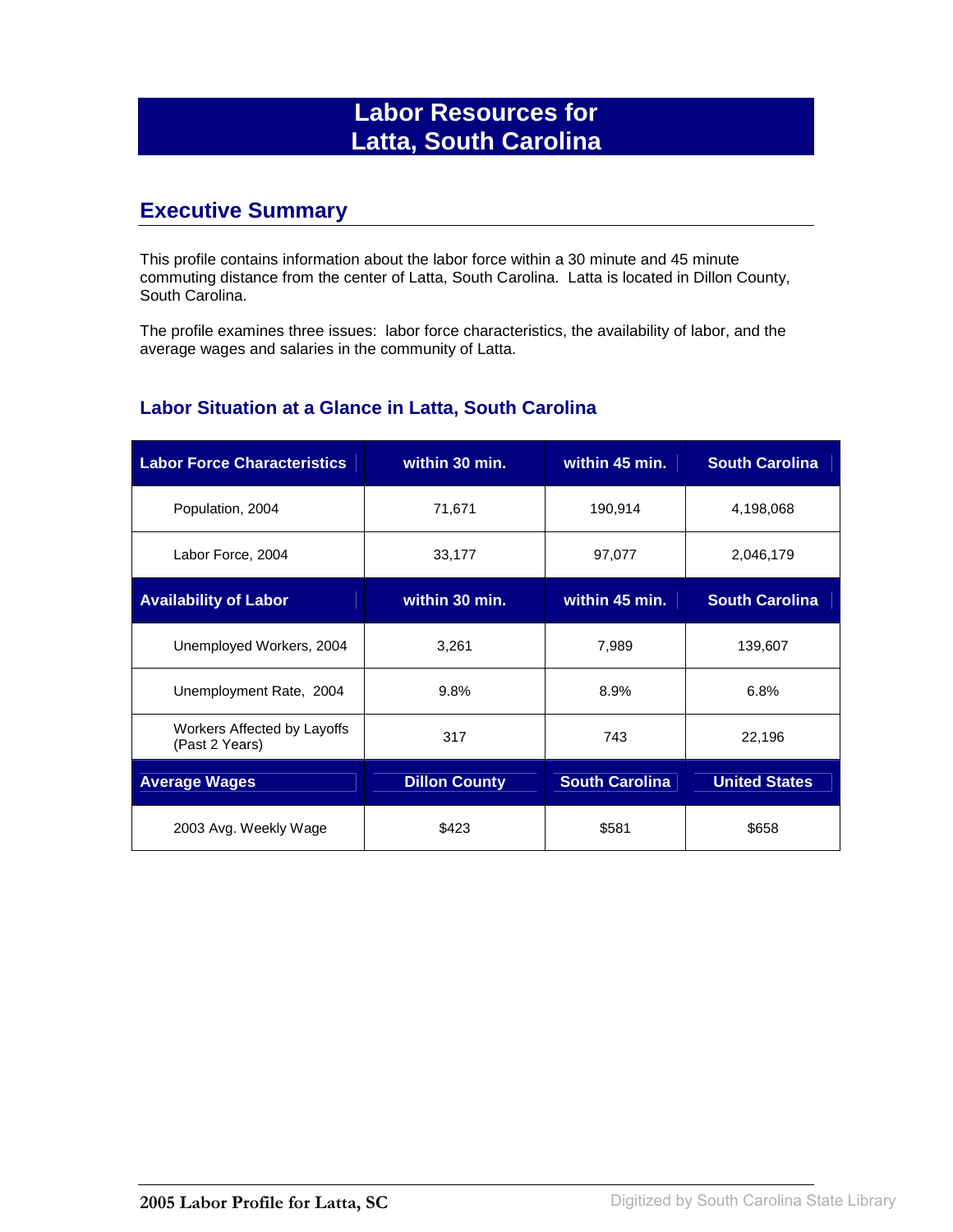# **Labor Resources for Latta, South Carolina**

### **Executive Summary**

This profile contains information about the labor force within a 30 minute and 45 minute commuting distance from the center of Latta, South Carolina. Latta is located in Dillon County, South Carolina.

The profile examines three issues: labor force characteristics, the availability of labor, and the average wages and salaries in the community of Latta.

#### **Labor Situation at a Glance in Latta, South Carolina**

| <b>Labor Force Characteristics</b>            | within 30 min.       | within 45 min.        | <b>South Carolina</b> |
|-----------------------------------------------|----------------------|-----------------------|-----------------------|
| Population, 2004                              | 71,671               | 190,914               | 4,198,068             |
| Labor Force, 2004                             | 33,177               | 97,077                | 2,046,179             |
| <b>Availability of Labor</b>                  | within 30 min.       | within 45 min.        | <b>South Carolina</b> |
| Unemployed Workers, 2004                      | 3,261                | 7,989                 | 139,607               |
| Unemployment Rate, 2004                       | 9.8%                 | 8.9%                  | 6.8%                  |
| Workers Affected by Layoffs<br>(Past 2 Years) | 317                  | 743                   | 22,196                |
| <b>Average Wages</b>                          | <b>Dillon County</b> | <b>South Carolina</b> | <b>United States</b>  |
| 2003 Avg. Weekly Wage                         | \$423                | \$581                 | \$658                 |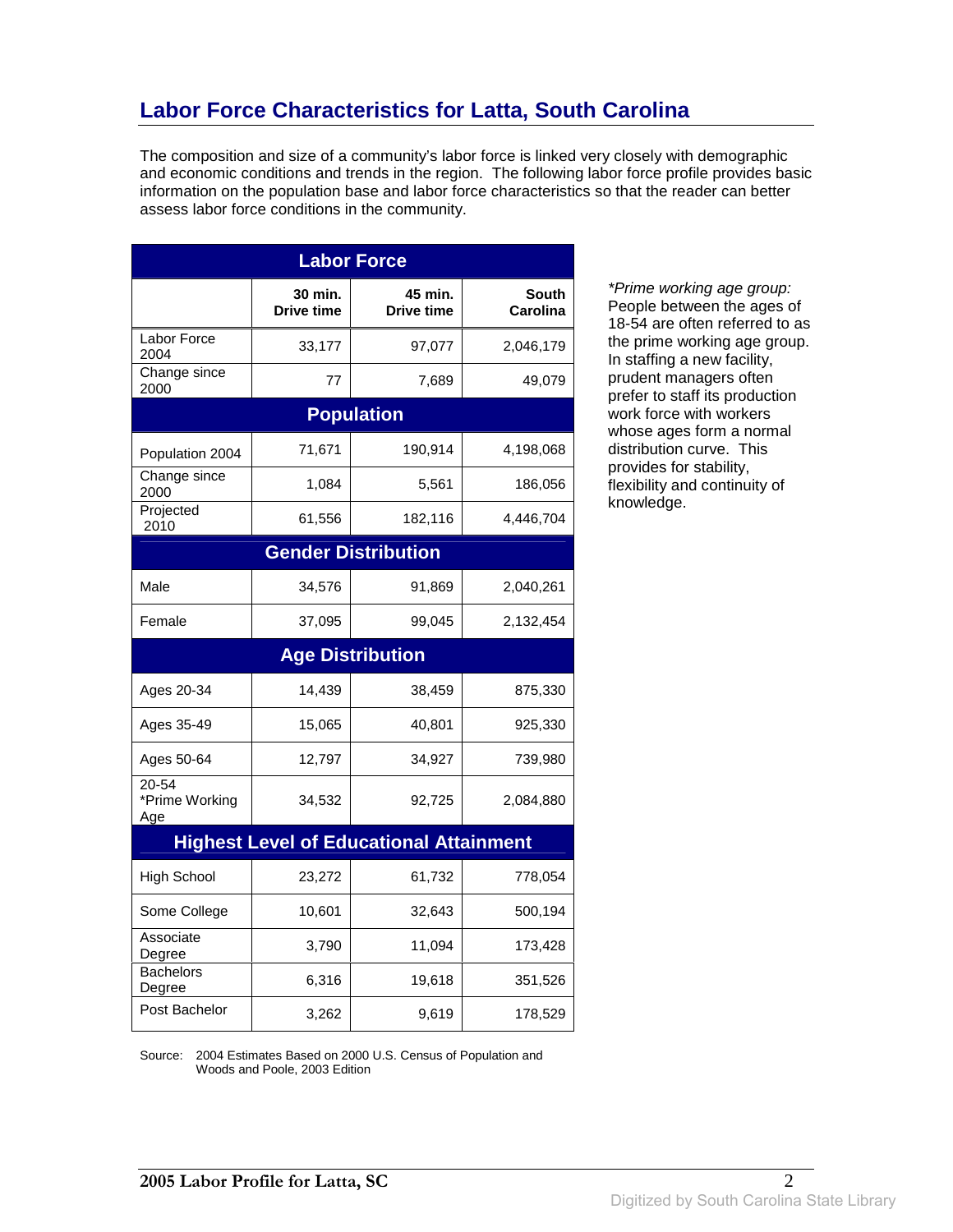# **Labor Force Characteristics for Latta, South Carolina**

The composition and size of a community's labor force is linked very closely with demographic and economic conditions and trends in the region. The following labor force profile provides basic information on the population base and labor force characteristics so that the reader can better assess labor force conditions in the community.

| <b>Labor Force</b>             |                              |                                                |                                 |
|--------------------------------|------------------------------|------------------------------------------------|---------------------------------|
|                                | 30 min.<br><b>Drive time</b> | 45 min.<br><b>Drive time</b>                   | <b>South</b><br><b>Carolina</b> |
| Labor Force<br>2004            | 33,177                       | 97,077                                         | 2,046,179                       |
| Change since<br>2000           | 77                           | 7,689                                          | 49,079                          |
|                                |                              | <b>Population</b>                              |                                 |
| Population 2004                | 71,671                       | 190,914                                        | 4,198,068                       |
| Change since<br>2000           | 1,084                        | 5,561                                          | 186,056                         |
| Projected<br>2010              | 61,556                       | 182,116                                        | 4,446,704                       |
|                                |                              | <b>Gender Distribution</b>                     |                                 |
| Male                           | 34,576                       | 91,869                                         | 2,040,261                       |
| Female                         | 37,095                       | 99,045                                         | 2,132,454                       |
|                                |                              | <b>Age Distribution</b>                        |                                 |
| Ages 20-34                     | 14,439                       | 38,459                                         | 875,330                         |
| Ages 35-49                     | 15,065                       | 40,801                                         | 925,330                         |
| Ages 50-64                     | 12,797                       | 34,927                                         | 739,980                         |
| 20-54<br>*Prime Working<br>Age | 34,532                       | 92,725                                         | 2,084,880                       |
|                                |                              | <b>Highest Level of Educational Attainment</b> |                                 |
| <b>High School</b>             | 23,272                       | 61,732                                         | 778,054                         |
| Some College                   | 10,601                       | 32,643                                         | 500,194                         |
| Associate<br>Degree            | 3,790                        | 11,094                                         | 173,428                         |
| <b>Bachelors</b><br>Degree     | 6,316                        | 19,618                                         | 351,526                         |
| Post Bachelor                  | 3,262                        | 9,619                                          | 178,529                         |

\*Prime working age group: People between the ages of 18-54 are often referred to as the prime working age group. In staffing a new facility, prudent managers often prefer to staff its production work force with workers whose ages form a normal distribution curve. This provides for stability, flexibility and continuity of knowledge.

Source: 2004 Estimates Based on 2000 U.S. Census of Population and Woods and Poole, 2003 Edition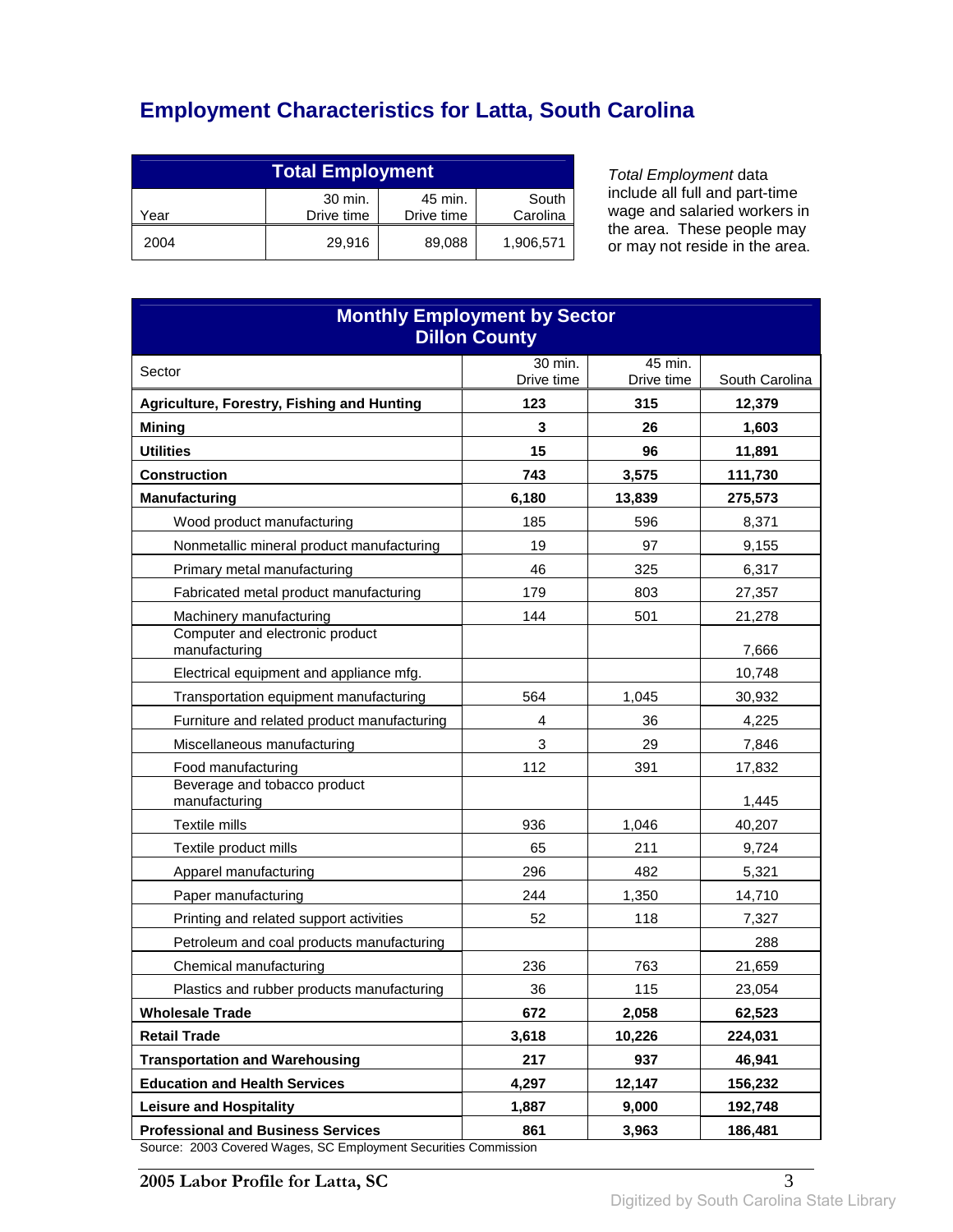# **Employment Characteristics for Latta, South Carolina**

| <b>Total Employment</b> |                       |                       |                   |
|-------------------------|-----------------------|-----------------------|-------------------|
| Year                    | 30 min.<br>Drive time | 45 min.<br>Drive time | South<br>Carolina |
| 2004                    | 29.916                | 89,088                | 1,906,571         |

Total Employment data include all full and part-time wage and salaried workers in the area. These people may or may not reside in the area.

| <b>Monthly Employment by Sector</b><br><b>Dillon County</b>                                          |                   |            |                 |
|------------------------------------------------------------------------------------------------------|-------------------|------------|-----------------|
| Sector                                                                                               | 30 min.           | 45 min.    |                 |
|                                                                                                      | Drive time<br>123 | Drive time | South Carolina  |
| Agriculture, Forestry, Fishing and Hunting<br><b>Mining</b>                                          | 3                 | 315<br>26  | 12,379<br>1,603 |
| <b>Utilities</b>                                                                                     | 15                | 96         | 11,891          |
| <b>Construction</b>                                                                                  | 743               | 3,575      | 111,730         |
| <b>Manufacturing</b>                                                                                 | 6,180             | 13,839     | 275,573         |
| Wood product manufacturing                                                                           | 185               | 596        | 8,371           |
| Nonmetallic mineral product manufacturing                                                            | 19                | 97         | 9,155           |
| Primary metal manufacturing                                                                          | 46                | 325        | 6,317           |
| Fabricated metal product manufacturing                                                               | 179               | 803        | 27,357          |
| Machinery manufacturing                                                                              | 144               | 501        | 21,278          |
| Computer and electronic product<br>manufacturing                                                     |                   |            | 7,666           |
| Electrical equipment and appliance mfg.                                                              |                   |            | 10,748          |
| Transportation equipment manufacturing                                                               | 564               | 1,045      | 30,932          |
| Furniture and related product manufacturing                                                          | 4                 | 36         | 4,225           |
| Miscellaneous manufacturing                                                                          | 3                 | 29         | 7,846           |
| Food manufacturing                                                                                   | 112               | 391        | 17,832          |
| Beverage and tobacco product<br>manufacturing                                                        |                   |            | 1,445           |
| Textile mills                                                                                        | 936               | 1,046      | 40,207          |
| Textile product mills                                                                                | 65                | 211        | 9,724           |
| Apparel manufacturing                                                                                | 296               | 482        | 5,321           |
| Paper manufacturing                                                                                  | 244               | 1,350      | 14,710          |
| Printing and related support activities                                                              | 52                | 118        | 7,327           |
| Petroleum and coal products manufacturing                                                            |                   |            | 288             |
| Chemical manufacturing                                                                               | 236               | 763        | 21,659          |
| Plastics and rubber products manufacturing                                                           | 36                | 115        | 23,054          |
| <b>Wholesale Trade</b>                                                                               | 672               | 2,058      | 62,523          |
| <b>Retail Trade</b>                                                                                  | 3,618             | 10,226     | 224,031         |
| <b>Transportation and Warehousing</b>                                                                | 217               | 937        | 46,941          |
| <b>Education and Health Services</b>                                                                 | 4,297             | 12,147     | 156,232         |
| <b>Leisure and Hospitality</b>                                                                       | 1,887             | 9,000      | 192,748         |
| <b>Professional and Business Services</b><br>2003 Covered Weges, SC Employment Sequrities Commission | 861               | 3,963      | 186,481         |

Source: 2003 Covered Wages, SC Employment Securities Commission

**2005 Labor Profile for Latta, SC** 3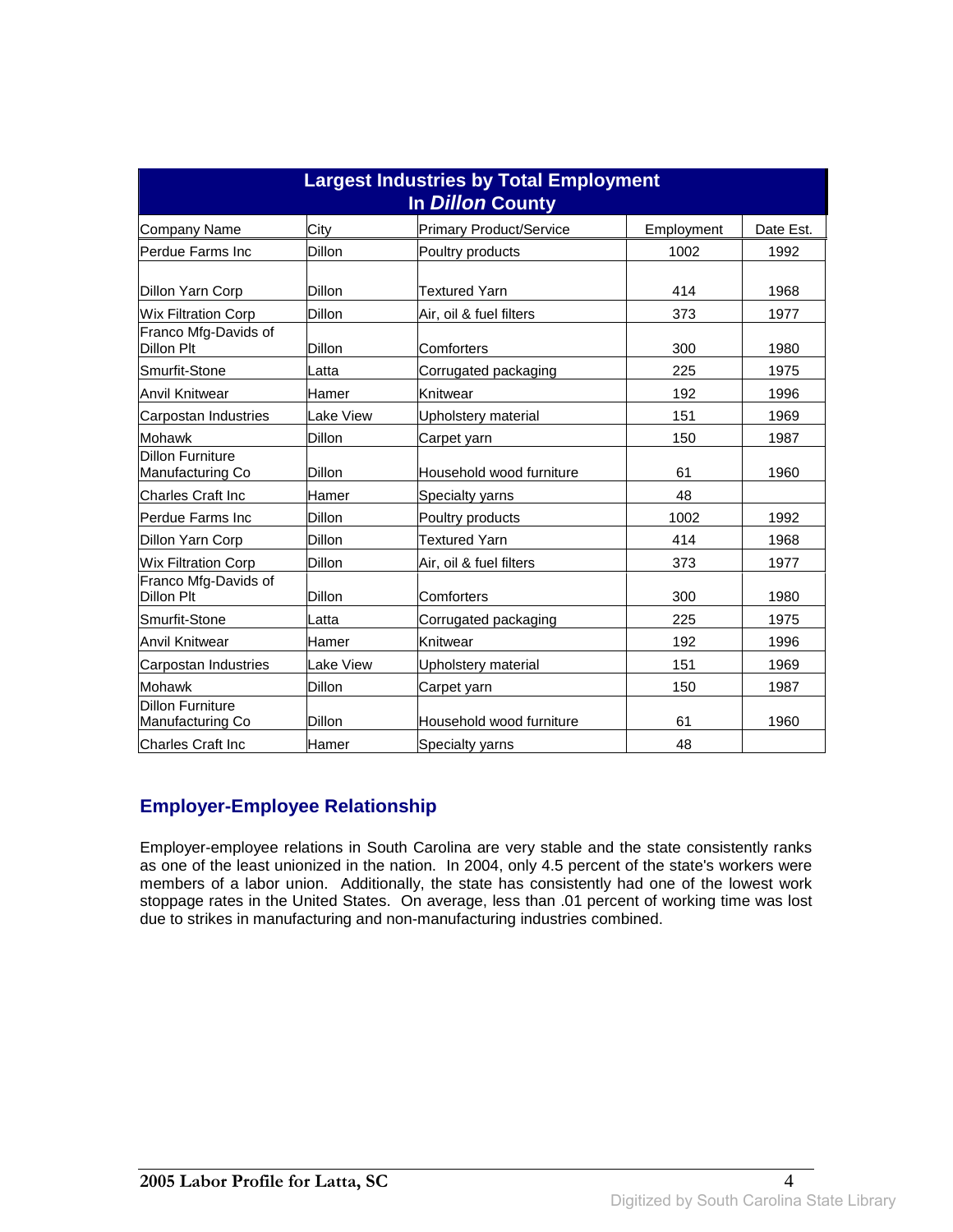| <b>Largest Industries by Total Employment</b><br>In Dillon County |               |                                |            |           |
|-------------------------------------------------------------------|---------------|--------------------------------|------------|-----------|
| Company Name                                                      | City          | <b>Primary Product/Service</b> | Employment | Date Est. |
| Perdue Farms Inc                                                  | Dillon        | Poultry products               | 1002       | 1992      |
| Dillon Yarn Corp                                                  | Dillon        | Textured Yarn                  | 414        | 1968      |
| <b>Wix Filtration Corp</b>                                        | Dillon        | Air, oil & fuel filters        | 373        | 1977      |
| Franco Mfg-Davids of<br>Dillon Plt                                | Dillon        | Comforters                     | 300        | 1980      |
| Smurfit-Stone                                                     | Latta         | Corrugated packaging           | 225        | 1975      |
| Anvil Knitwear                                                    | Hamer         | Knitwear                       | 192        | 1996      |
| Carpostan Industries                                              | Lake View     | Upholstery material            | 151        | 1969      |
| Mohawk                                                            | Dillon        | Carpet yarn                    | 150        | 1987      |
| <b>Dillon Furniture</b><br>Manufacturing Co                       | Dillon        | Household wood furniture       | 61         | 1960      |
| <b>Charles Craft Inc</b>                                          | Hamer         | <b>Specialty yarns</b>         | 48         |           |
| Perdue Farms Inc                                                  | Dillon        | Poultry products               | 1002       | 1992      |
| Dillon Yarn Corp                                                  | Dillon        | <b>Textured Yarn</b>           | 414        | 1968      |
| <b>Wix Filtration Corp</b>                                        | Dillon        | Air, oil & fuel filters        | 373        | 1977      |
| Franco Mfg-Davids of<br>Dillon Plt                                | Dillon        | Comforters                     | 300        | 1980      |
| Smurfit-Stone                                                     | Latta         | Corrugated packaging           | 225        | 1975      |
| Anvil Knitwear                                                    | Hamer         | Knitwear                       | 192        | 1996      |
| Carpostan Industries                                              | Lake View     | Upholstery material            | 151        | 1969      |
| Mohawk                                                            | <b>Dillon</b> | Carpet yarn                    | 150        | 1987      |
| <b>Dillon Furniture</b><br>Manufacturing Co                       | Dillon        | Household wood furniture       | 61         | 1960      |
| <b>Charles Craft Inc</b>                                          | Hamer         | Specialty yarns                | 48         |           |

### **Employer-Employee Relationship**

Employer-employee relations in South Carolina are very stable and the state consistently ranks as one of the least unionized in the nation. In 2004, only 4.5 percent of the state's workers were members of a labor union. Additionally, the state has consistently had one of the lowest work stoppage rates in the United States. On average, less than .01 percent of working time was lost due to strikes in manufacturing and non-manufacturing industries combined.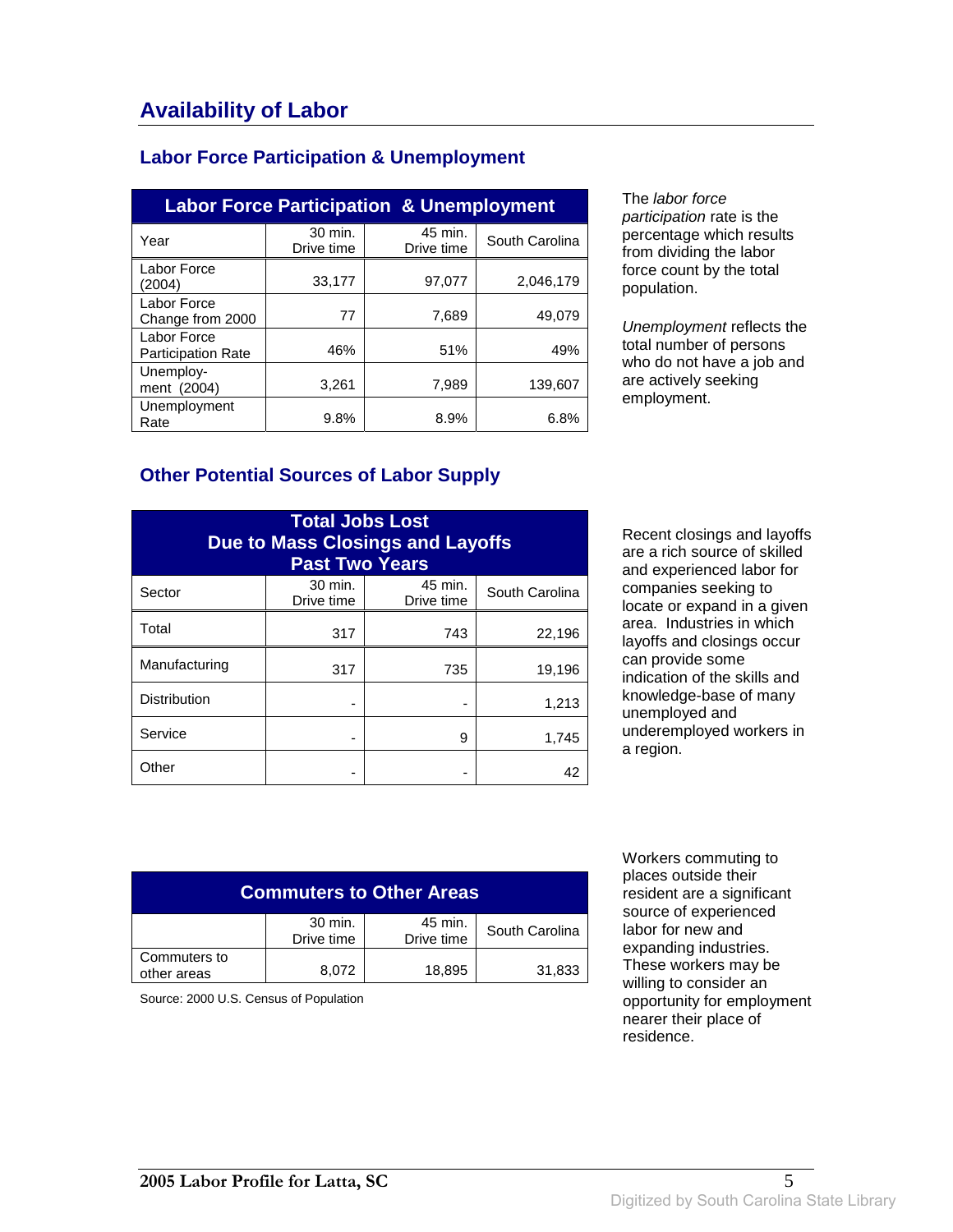### **Labor Force Participation & Unemployment**

| <b>Labor Force Participation &amp; Unemployment</b> |                       |                       |                |  |
|-----------------------------------------------------|-----------------------|-----------------------|----------------|--|
| Year                                                | 30 min.<br>Drive time | 45 min.<br>Drive time | South Carolina |  |
| Labor Force<br>(2004)                               | 33,177                | 97,077                | 2,046,179      |  |
| Labor Force<br>Change from 2000                     | 77                    | 7,689                 | 49.079         |  |
| Labor Force<br><b>Participation Rate</b>            | 46%                   | 51%                   | 49%            |  |
| Unemploy-<br>ment (2004)                            | 3,261                 | 7,989                 | 139.607        |  |
| Unemployment<br>Rate                                | 9.8%                  | 8.9%                  | 6.8%           |  |

The labor force participation rate is the percentage which results from dividing the labor force count by the total population.

Unemployment reflects the total number of persons who do not have a job and are actively seeking employment.

#### **Other Potential Sources of Labor Supply**

| <b>Total Jobs Lost</b><br><b>Due to Mass Closings and Layoffs</b><br><b>Past Two Years</b> |                       |                       |                |
|--------------------------------------------------------------------------------------------|-----------------------|-----------------------|----------------|
| Sector                                                                                     | 30 min.<br>Drive time | 45 min.<br>Drive time | South Carolina |
| Total                                                                                      | 317                   | 743                   | 22,196         |
| Manufacturing                                                                              | 317                   | 735                   | 19,196         |
| <b>Distribution</b>                                                                        |                       |                       | 1,213          |
| Service                                                                                    |                       | 9                     | 1,745          |
| Other                                                                                      |                       |                       | 42             |

Recent closings and layoffs are a rich source of skilled and experienced labor for companies seeking to locate or expand in a given area. Industries in which layoffs and closings occur can provide some indication of the skills and knowledge-base of many unemployed and underemployed workers in a region.

| <b>Commuters to Other Areas</b>                                  |       |        |        |
|------------------------------------------------------------------|-------|--------|--------|
| 30 min.<br>45 min.<br>South Carolina<br>Drive time<br>Drive time |       |        |        |
| Commuters to<br>other areas                                      | 8,072 | 18,895 | 31,833 |

Source: 2000 U.S. Census of Population

 Workers commuting to places outside their resident are a significant source of experienced labor for new and expanding industries. These workers may be willing to consider an opportunity for employment nearer their place of residence.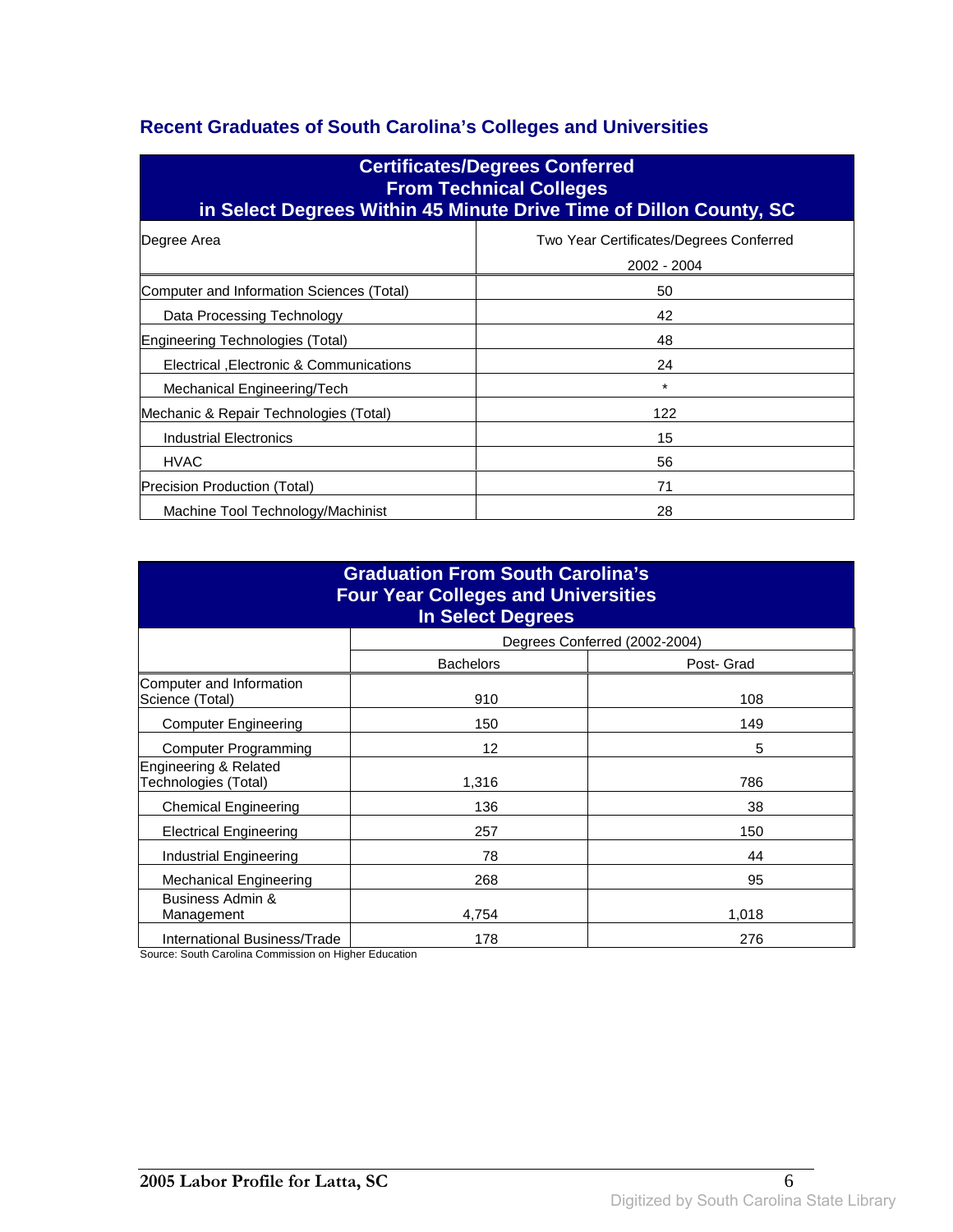### **Recent Graduates of South Carolina's Colleges and Universities**

| <b>Certificates/Degrees Conferred</b><br><b>From Technical Colleges</b><br>in Select Degrees Within 45 Minute Drive Time of Dillon County, SC |                                                        |  |
|-----------------------------------------------------------------------------------------------------------------------------------------------|--------------------------------------------------------|--|
| Degree Area                                                                                                                                   | Two Year Certificates/Degrees Conferred<br>2002 - 2004 |  |
| Computer and Information Sciences (Total)                                                                                                     | 50                                                     |  |
| Data Processing Technology                                                                                                                    | 42                                                     |  |
| Engineering Technologies (Total)                                                                                                              | 48                                                     |  |
| Electrical , Electronic & Communications                                                                                                      | 24                                                     |  |
| Mechanical Engineering/Tech                                                                                                                   | *                                                      |  |
| Mechanic & Repair Technologies (Total)                                                                                                        | 122                                                    |  |
| <b>Industrial Electronics</b>                                                                                                                 | 15                                                     |  |
| <b>HVAC</b>                                                                                                                                   | 56                                                     |  |
| Precision Production (Total)                                                                                                                  | 71                                                     |  |
| Machine Tool Technology/Machinist                                                                                                             | 28                                                     |  |

| <b>Graduation From South Carolina's</b><br><b>Four Year Colleges and Universities</b><br><b>In Select Degrees</b> |                  |                               |  |
|-------------------------------------------------------------------------------------------------------------------|------------------|-------------------------------|--|
|                                                                                                                   |                  | Degrees Conferred (2002-2004) |  |
|                                                                                                                   | <b>Bachelors</b> | Post- Grad                    |  |
| Computer and Information<br>Science (Total)                                                                       | 910              | 108                           |  |
| <b>Computer Engineering</b>                                                                                       | 150              | 149                           |  |
| <b>Computer Programming</b>                                                                                       | 12               | 5                             |  |
| Engineering & Related<br>Technologies (Total)                                                                     | 1,316            | 786                           |  |
| <b>Chemical Engineering</b>                                                                                       | 136              | 38                            |  |
| <b>Electrical Engineering</b>                                                                                     | 257              | 150                           |  |
| Industrial Engineering                                                                                            | 78               | 44                            |  |
| <b>Mechanical Engineering</b>                                                                                     | 268              | 95                            |  |
| Business Admin &<br>Management                                                                                    | 4.754            | 1,018                         |  |
| International Business/Trade                                                                                      | 178              | 276                           |  |

Source: South Carolina Commission on Higher Education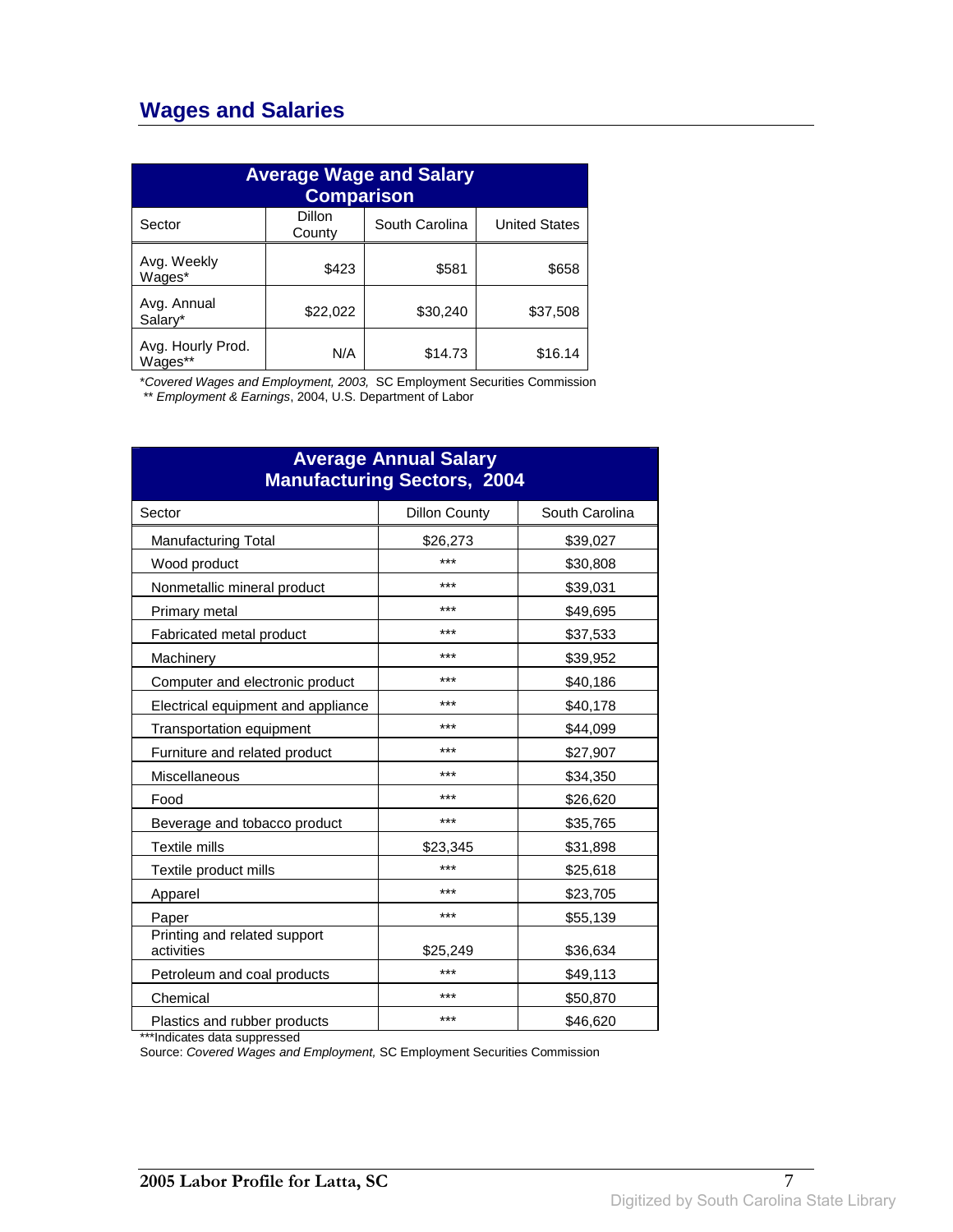## **Wages and Salaries**

| <b>Average Wage and Salary</b><br><b>Comparison</b> |                  |                |                      |
|-----------------------------------------------------|------------------|----------------|----------------------|
| Sector                                              | Dillon<br>County | South Carolina | <b>United States</b> |
| Avg. Weekly<br>Wages*                               | \$423            | \$581          | \$658                |
| Avg. Annual<br>Salarv*                              | \$22,022         | \$30,240       | \$37,508             |
| Avg. Hourly Prod.<br>Wages**                        | N/A              | \$14.73        | \$16.14              |

\*Covered Wages and Employment, 2003, SC Employment Securities Commission

\*\* Employment & Earnings, 2004, U.S. Department of Labor

| <b>Average Annual Salary</b><br><b>Manufacturing Sectors, 2004</b> |                      |                |  |
|--------------------------------------------------------------------|----------------------|----------------|--|
| Sector                                                             | <b>Dillon County</b> | South Carolina |  |
| <b>Manufacturing Total</b>                                         | \$26,273             | \$39,027       |  |
| Wood product                                                       | ***                  | \$30,808       |  |
| Nonmetallic mineral product                                        | ***                  | \$39,031       |  |
| Primary metal                                                      | ***                  | \$49,695       |  |
| Fabricated metal product                                           | ***                  | \$37,533       |  |
| Machinery                                                          | ***                  | \$39,952       |  |
| Computer and electronic product                                    | ***                  | \$40,186       |  |
| Electrical equipment and appliance                                 | ***                  | \$40,178       |  |
| Transportation equipment                                           | ***                  | \$44,099       |  |
| Furniture and related product                                      | ***                  | \$27,907       |  |
| Miscellaneous                                                      | ***                  | \$34,350       |  |
| Food                                                               | ***                  | \$26,620       |  |
| Beverage and tobacco product                                       | ***                  | \$35,765       |  |
| <b>Textile mills</b>                                               | \$23,345             | \$31,898       |  |
| Textile product mills                                              | ***                  | \$25,618       |  |
| Apparel                                                            | ***                  | \$23,705       |  |
| Paper                                                              | ***                  | \$55,139       |  |
| Printing and related support<br>activities                         | \$25,249             | \$36,634       |  |
| Petroleum and coal products                                        | ***                  | \$49,113       |  |
| Chemical                                                           | ***                  | \$50,870       |  |
| Plastics and rubber products                                       | ***                  | \$46,620       |  |

\*\*\*Indicates data suppressed

Source: Covered Wages and Employment, SC Employment Securities Commission